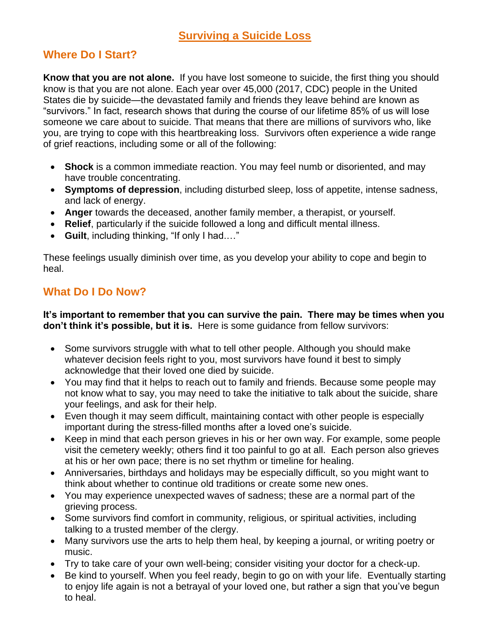## **Surviving a Suicide Loss**

## **Where Do I Start?**

**Know that you are not alone.** If you have lost someone to suicide, the first thing you should know is that you are not alone. Each year over 45,000 (2017, CDC) people in the United States die by suicide—the devastated family and friends they leave behind are known as "survivors." In fact, research shows that during the course of our lifetime 85% of us will lose someone we care about to suicide. That means that there are millions of survivors who, like you, are trying to cope with this heartbreaking loss. Survivors often experience a wide range of grief reactions, including some or all of the following:

- **Shock** is a common immediate reaction. You may feel numb or disoriented, and may have trouble concentrating.
- **Symptoms of depression**, including disturbed sleep, loss of appetite, intense sadness, and lack of energy.
- **Anger** towards the deceased, another family member, a therapist, or yourself.
- **Relief**, particularly if the suicide followed a long and difficult mental illness.
- **Guilt**, including thinking, "If only I had.…"

These feelings usually diminish over time, as you develop your ability to cope and begin to heal.

## **What Do I Do Now?**

**It's important to remember that you can survive the pain. There may be times when you don't think it's possible, but it is.** Here is some guidance from fellow survivors:

- Some survivors struggle with what to tell other people. Although you should make whatever decision feels right to you, most survivors have found it best to simply acknowledge that their loved one died by suicide.
- You may find that it helps to reach out to family and friends. Because some people may not know what to say, you may need to take the initiative to talk about the suicide, share your feelings, and ask for their help.
- Even though it may seem difficult, maintaining contact with other people is especially important during the stress-filled months after a loved one's suicide.
- Keep in mind that each person grieves in his or her own way. For example, some people visit the cemetery weekly; others find it too painful to go at all. Each person also grieves at his or her own pace; there is no set rhythm or timeline for healing.
- Anniversaries, birthdays and holidays may be especially difficult, so you might want to think about whether to continue old traditions or create some new ones.
- You may experience unexpected waves of sadness; these are a normal part of the grieving process.
- Some survivors find comfort in community, religious, or spiritual activities, including talking to a trusted member of the clergy.
- Many survivors use the arts to help them heal, by keeping a journal, or writing poetry or music.
- Try to take care of your own well-being; consider visiting your doctor for a check-up.
- Be kind to yourself. When you feel ready, begin to go on with your life. Eventually starting to enjoy life again is not a betrayal of your loved one, but rather a sign that you've begun to heal.